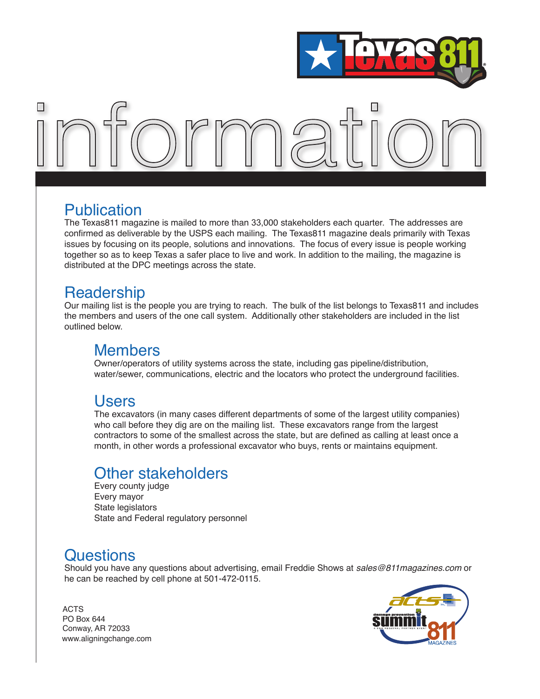



#### Publication

The Texas811 magazine is mailed to more than 33,000 stakeholders each quarter. The addresses are confirmed as deliverable by the USPS each mailing. The Texas811 magazine deals primarily with Texas issues by focusing on its people, solutions and innovations. The focus of every issue is people working together so as to keep Texas a safer place to live and work. In addition to the mailing, the magazine is distributed at the DPC meetings across the state.

#### **Readership**

Our mailing list is the people you are trying to reach. The bulk of the list belongs to Texas811 and includes the members and users of the one call system. Additionally other stakeholders are included in the list outlined below.

#### Members

Owner/operators of utility systems across the state, including gas pipeline/distribution, water/sewer, communications, electric and the locators who protect the underground facilities.

#### Users

The excavators (in many cases different departments of some of the largest utility companies) who call before they dig are on the mailing list. These excavators range from the largest contractors to some of the smallest across the state, but are defined as calling at least once a month, in other words a professional excavator who buys, rents or maintains equipment.

### Other stakeholders

Every county judge Every mayor State legislators State and Federal regulatory personnel

### **Questions**

Should you have any questions about advertising, email Freddie Shows at *sales@811magazines.com* or he can be reached by cell phone at 501-472-0115.

ACTS PO Box 644 Conway, AR 72033 www.aligningchange.com

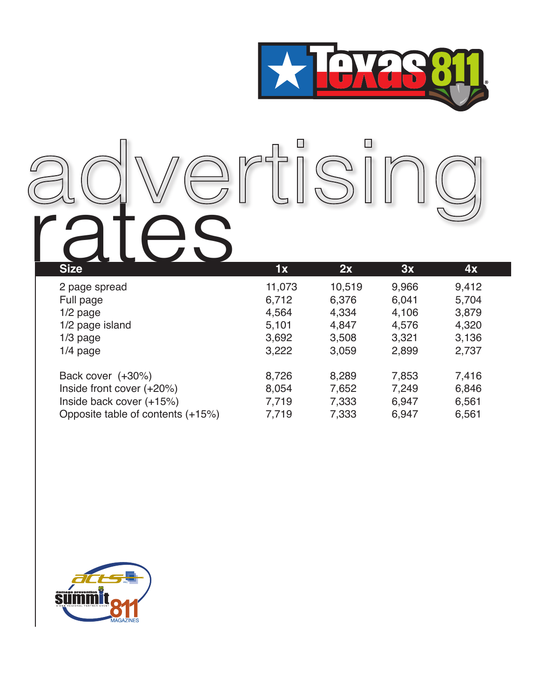

# **rates 1x** 2x 3x 4x

| 2 page spread                     | 11,073 | 10,519 | 9,966 | 9,412 |  |
|-----------------------------------|--------|--------|-------|-------|--|
| Full page                         | 6,712  | 6,376  | 6,041 | 5,704 |  |
| $1/2$ page                        | 4,564  | 4,334  | 4,106 | 3,879 |  |
| 1/2 page island                   | 5,101  | 4,847  | 4,576 | 4,320 |  |
| $1/3$ page                        | 3,692  | 3,508  | 3,321 | 3,136 |  |
| $1/4$ page                        | 3,222  | 3,059  | 2,899 | 2,737 |  |
|                                   |        |        |       |       |  |
| Back cover (+30%)                 | 8,726  | 8,289  | 7,853 | 7,416 |  |
| Inside front cover (+20%)         | 8,054  | 7,652  | 7,249 | 6,846 |  |
| Inside back cover (+15%)          | 7,719  | 7,333  | 6,947 | 6,561 |  |
| Opposite table of contents (+15%) | 7,719  | 7,333  | 6,947 | 6,561 |  |
|                                   |        |        |       |       |  |